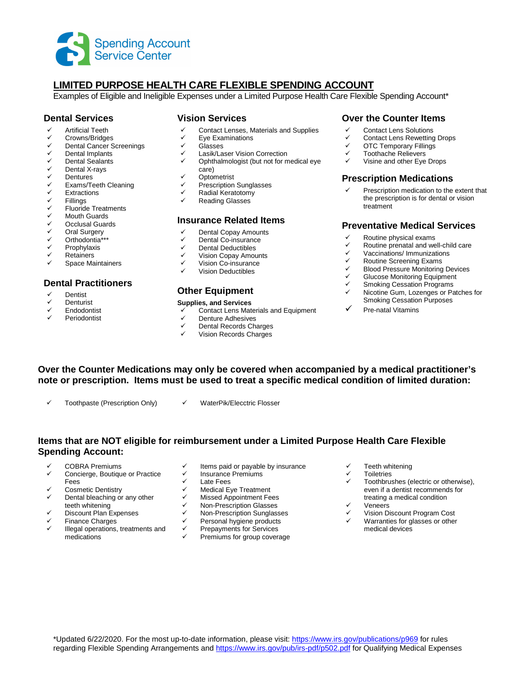

# **LIMITED PURPOSE HEALTH CARE FLEXIBLE SPENDING ACCOUNT**

Examples of Eligible and Ineligible Expenses under a Limited Purpose Health Care Flexible Spending Account\*

## **Dental Services**

- Artificial Teeth
- ← Crowns/Bridges
- $\checkmark$  Dental Cancer Screenings<br> $\checkmark$  Dental Implants
- Dental Implants
- $\checkmark$  Dental Sealants
- <del>V</del> Dental X-rays
- V Dentures<br>V Exams/Te
- ✓ Exams/Teeth Cleaning<br>✓ Extractions
- Extractions
- V Fillings<br>V Fluoride
- ← Fluoride Treatments<br>← Mouth Guards
- ← Mouth Guards<br>← Occlusal Guard
- Occlusal Guards
- V Oral Surgery<br>V Orthodontia\*\*
- Orthodontia\*\*\*
- Prophylaxis
- Retainers
- Space Maintainers

## **Dental Practitioners**

- Dentist
- **Denturist**
- Endodontist
- Periodontist

#### **Vision Services**

- $\checkmark$  Contact Lenses, Materials and Supplies
- $\checkmark$  Eye Examinations
- V Glasses<br>V Lasik/La
- Lasik/Laser Vision Correction
- $\checkmark$  Ophthalmologist (but not for medical eye care)
- $\checkmark$  Optometrist
- $\checkmark$  Prescription Sunglasses
- $\checkmark$  Radial Keratotomy
- Reading Glasses

## **Insurance Related Items**

- Dental Copay Amounts
- $\checkmark$  Dental Co-insurance
- Dental Deductibles
- $\checkmark$  Vision Copay Amounts
- Vision Co-insurance
- Vision Deductibles

### **Other Equipment**

#### **Supplies, and Services**

- Contact Lens Materials and Equipment
- $\checkmark$  Denture Adhesives
- Dental Records Charges
- Vision Records Charges

### **Over the Counter Items**

- Contact Lens Solutions
- ← Contact Lens Rewetting Drops
- **V** OTC Temporary Fillings
- Toothache Relievers
- $\checkmark$  Visine and other Eye Drops

### **Prescription Medications**

 Prescription medication to the extent that the prescription is for dental or vision treatment

#### **Preventative Medical Services**

- $\checkmark$  Routine physical exams<br> $\checkmark$  Routine prepatal and we
- $\checkmark$  Routine prenatal and well-child care<br> $\checkmark$  Vaccinations/Immunizations
- **V** Vaccinations/ Immunizations<br>
V Routine Screening Exams
- ← Routine Screening Exams<br>← Rlood Pressure Monitoring
- <del>✓</del> Blood Pressure Monitoring Devices<br>✓ Glucose Monitoring Faujament
- $\checkmark$  Glucose Monitoring Equipment
- $\checkmark$  Smoking Cessation Programs
- Nicotine Gum, Lozenges or Patches for Smoking Cessation Purposes
- Pre-natal Vitamins
- **Over the Counter Medications may only be covered when accompanied by a medical practitioner's note or prescription. Items must be used to treat a specific medical condition of limited duration:** 
	- Toothpaste (Prescription Only)  $\checkmark$  WaterPik/Elecctric Flosser
		-

## **Items that are NOT eligible for reimbursement under a Limited Purpose Health Care Flexible Spending Account:**

- COBRA Premiums
- Concierge, Boutique or Practice Fees
- Cosmetic Dentistry
- Dental bleaching or any other teeth whitening
- Discount Plan Expenses
- Finance Charges
- Illegal operations, treatments and medications
- $\checkmark$  Items paid or payable by insurance
- $\checkmark$  Insurance Premiums
	- Late Fees
	- Medical Eye Treatment
	- Missed Appointment Fees
	- $\checkmark$  Non-Prescription Glasses<br> $\checkmark$  Non-Prescription Sunglass
	- $\checkmark$  Non-Prescription Sunglasses
	- Personal hygiene products
	- Prepayments for Services
	- Premiums for group coverage
- Teeth whitening
- **Toiletries**
- Toothbrushes (electric or otherwise), even if a dentist recommends for treating a medical condition
- Veneers
- Vision Discount Program Cost
- Warranties for glasses or other medical devices